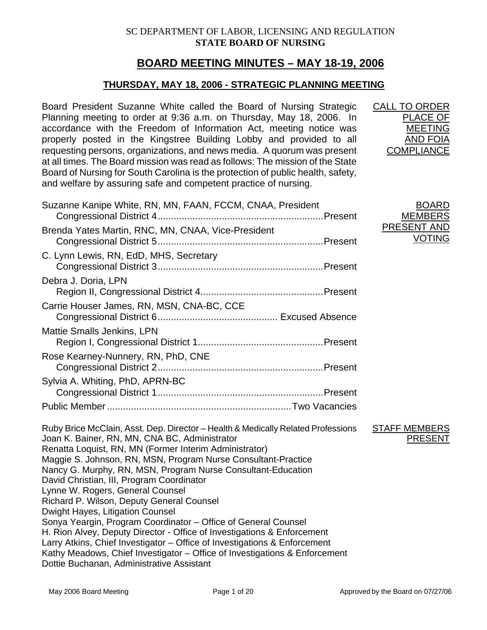# **BOARD MEETING MINUTES – MAY 18-19, 2006**

# **THURSDAY, MAY 18, 2006 - STRATEGIC PLANNING MEETING**

Board President Suzanne White called the Board of Nursing Strategic Planning meeting to order at 9:36 a.m. on Thursday, May 18, 2006. In accordance with the Freedom of Information Act, meeting notice was properly posted in the Kingstree Building Lobby and provided to all requesting persons, organizations, and news media. A quorum was present at all times. The Board mission was read as follows: The mission of the State Board of Nursing for South Carolina is the protection of public health, safety, and welfare by assuring safe and competent practice of nursing.

Suzanne Kanipe White, RN, MN, FAAN, FCCM, CNAA, President

| ι, σαισιγ, |                    |
|------------|--------------------|
|            | <b>BOARD</b>       |
| Present    | <b>MEMBERS</b>     |
|            | <b>PRESENT AND</b> |
| Present    | <b>VOTING</b>      |
|            |                    |

CALL TO ORDER

PLACE OF MEETING AND FOIA **COMPLIANCE** 

|                                                                                                                                                                                                                                                                                                                                                                                                                                             | <b>MEMBERS</b>                                                             |
|---------------------------------------------------------------------------------------------------------------------------------------------------------------------------------------------------------------------------------------------------------------------------------------------------------------------------------------------------------------------------------------------------------------------------------------------|----------------------------------------------------------------------------|
|                                                                                                                                                                                                                                                                                                                                                                                                                                             | PRESENT AND<br><b>VOTING</b>                                               |
|                                                                                                                                                                                                                                                                                                                                                                                                                                             |                                                                            |
|                                                                                                                                                                                                                                                                                                                                                                                                                                             |                                                                            |
|                                                                                                                                                                                                                                                                                                                                                                                                                                             |                                                                            |
|                                                                                                                                                                                                                                                                                                                                                                                                                                             |                                                                            |
|                                                                                                                                                                                                                                                                                                                                                                                                                                             |                                                                            |
|                                                                                                                                                                                                                                                                                                                                                                                                                                             |                                                                            |
|                                                                                                                                                                                                                                                                                                                                                                                                                                             |                                                                            |
| Ruby Brice McClain, Asst. Dep. Director - Health & Medically Related Professions<br>Maggie S. Johnson, RN, MSN, Program Nurse Consultant-Practice<br>Nancy G. Murphy, RN, MSN, Program Nurse Consultant-Education<br>Sonya Yeargin, Program Coordinator – Office of General Counsel<br>H. Rion Alvey, Deputy Director - Office of Investigations & Enforcement<br>Larry Atkins, Chief Investigator - Office of Investigations & Enforcement | <b>STAFF MEMBERS</b><br><b>PRESENT</b>                                     |
|                                                                                                                                                                                                                                                                                                                                                                                                                                             | Kathy Meadows, Chief Investigator - Office of Investigations & Enforcement |

Dottie Buchanan, Administrative Assistant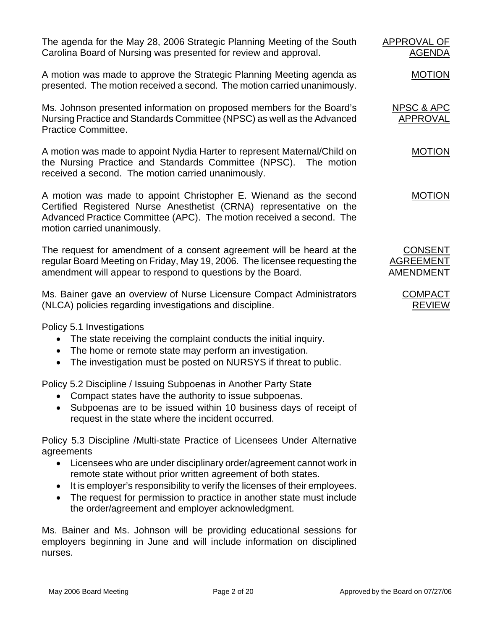The agenda for the May 28, 2006 Strategic Planning Meeting of the South Carolina Board of Nursing was presented for review and approval.

A motion was made to approve the Strategic Planning Meeting agenda as presented. The motion received a second. The motion carried unanimously.

Ms. Johnson presented information on proposed members for the Board's Nursing Practice and Standards Committee (NPSC) as well as the Advanced Practice Committee.

A motion was made to appoint Nydia Harter to represent Maternal/Child on the Nursing Practice and Standards Committee (NPSC). The motion received a second. The motion carried unanimously.

A motion was made to appoint Christopher E. Wienand as the second Certified Registered Nurse Anesthetist (CRNA) representative on the Advanced Practice Committee (APC). The motion received a second. The motion carried unanimously.

The request for amendment of a consent agreement will be heard at the regular Board Meeting on Friday, May 19, 2006. The licensee requesting the amendment will appear to respond to questions by the Board.

Ms. Bainer gave an overview of Nurse Licensure Compact Administrators (NLCA) policies regarding investigations and discipline.

Policy 5.1 Investigations

- The state receiving the complaint conducts the initial inquiry.
- The home or remote state may perform an investigation.
- The investigation must be posted on NURSYS if threat to public.

Policy 5.2 Discipline / Issuing Subpoenas in Another Party State

- Compact states have the authority to issue subpoenas.
- Subpoenas are to be issued within 10 business days of receipt of request in the state where the incident occurred.

Policy 5.3 Discipline /Multi-state Practice of Licensees Under Alternative agreements

- Licensees who are under disciplinary order/agreement cannot work in remote state without prior written agreement of both states.
- It is employer's responsibility to verify the licenses of their employees.
- The request for permission to practice in another state must include the order/agreement and employer acknowledgment.

Ms. Bainer and Ms. Johnson will be providing educational sessions for employers beginning in June and will include information on disciplined nurses.

APPROVAL OF AGENDA

MOTION

NPSC & APC APPROVAL

MOTION

MOTION

CONSENT AGREEMENT AMENDMENT

> **COMPACT** REVIEW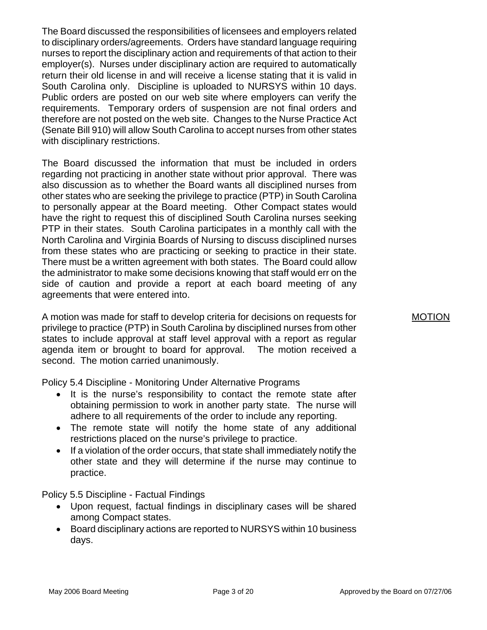The Board discussed the responsibilities of licensees and employers related to disciplinary orders/agreements. Orders have standard language requiring nurses to report the disciplinary action and requirements of that action to their employer(s). Nurses under disciplinary action are required to automatically return their old license in and will receive a license stating that it is valid in South Carolina only. Discipline is uploaded to NURSYS within 10 days. Public orders are posted on our web site where employers can verify the requirements. Temporary orders of suspension are not final orders and therefore are not posted on the web site. Changes to the Nurse Practice Act (Senate Bill 910) will allow South Carolina to accept nurses from other states with disciplinary restrictions.

The Board discussed the information that must be included in orders regarding not practicing in another state without prior approval. There was also discussion as to whether the Board wants all disciplined nurses from other states who are seeking the privilege to practice (PTP) in South Carolina to personally appear at the Board meeting. Other Compact states would have the right to request this of disciplined South Carolina nurses seeking PTP in their states. South Carolina participates in a monthly call with the North Carolina and Virginia Boards of Nursing to discuss disciplined nurses from these states who are practicing or seeking to practice in their state. There must be a written agreement with both states. The Board could allow the administrator to make some decisions knowing that staff would err on the side of caution and provide a report at each board meeting of any agreements that were entered into.

A motion was made for staff to develop criteria for decisions on requests for privilege to practice (PTP) in South Carolina by disciplined nurses from other states to include approval at staff level approval with a report as regular agenda item or brought to board for approval. The motion received a second. The motion carried unanimously.

Policy 5.4 Discipline - Monitoring Under Alternative Programs

- It is the nurse's responsibility to contact the remote state after obtaining permission to work in another party state. The nurse will adhere to all requirements of the order to include any reporting.
- The remote state will notify the home state of any additional restrictions placed on the nurse's privilege to practice.
- If a violation of the order occurs, that state shall immediately notify the other state and they will determine if the nurse may continue to practice.

Policy 5.5 Discipline - Factual Findings

- Upon request, factual findings in disciplinary cases will be shared among Compact states.
- Board disciplinary actions are reported to NURSYS within 10 business days.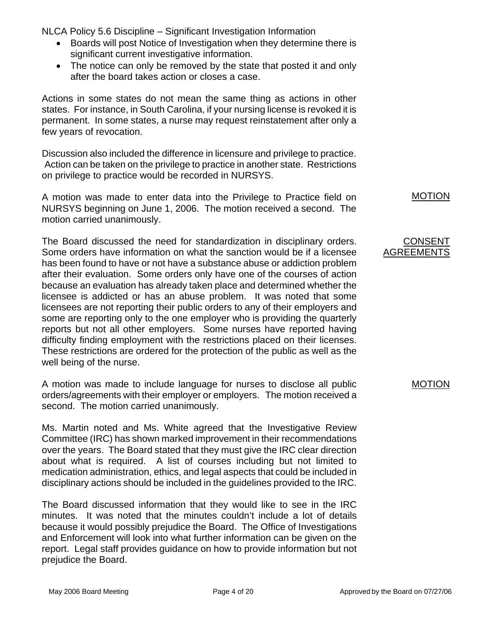NLCA Policy 5.6 Discipline – Significant Investigation Information

- Boards will post Notice of Investigation when they determine there is significant current investigative information.
- The notice can only be removed by the state that posted it and only after the board takes action or closes a case.

Actions in some states do not mean the same thing as actions in other states. For instance, in South Carolina, if your nursing license is revoked it is permanent. In some states, a nurse may request reinstatement after only a few years of revocation.

Discussion also included the difference in licensure and privilege to practice. Action can be taken on the privilege to practice in another state. Restrictions on privilege to practice would be recorded in NURSYS.

A motion was made to enter data into the Privilege to Practice field on NURSYS beginning on June 1, 2006. The motion received a second. The motion carried unanimously.

The Board discussed the need for standardization in disciplinary orders. Some orders have information on what the sanction would be if a licensee has been found to have or not have a substance abuse or addiction problem after their evaluation. Some orders only have one of the courses of action because an evaluation has already taken place and determined whether the licensee is addicted or has an abuse problem. It was noted that some licensees are not reporting their public orders to any of their employers and some are reporting only to the one employer who is providing the quarterly reports but not all other employers. Some nurses have reported having difficulty finding employment with the restrictions placed on their licenses. These restrictions are ordered for the protection of the public as well as the well being of the nurse.

A motion was made to include language for nurses to disclose all public orders/agreements with their employer or employers. The motion received a second. The motion carried unanimously.

Ms. Martin noted and Ms. White agreed that the Investigative Review Committee (IRC) has shown marked improvement in their recommendations over the years. The Board stated that they must give the IRC clear direction about what is required. A list of courses including but not limited to medication administration, ethics, and legal aspects that could be included in disciplinary actions should be included in the guidelines provided to the IRC.

The Board discussed information that they would like to see in the IRC minutes. It was noted that the minutes couldn't include a lot of details because it would possibly prejudice the Board. The Office of Investigations and Enforcement will look into what further information can be given on the report. Legal staff provides guidance on how to provide information but not prejudice the Board.

MOTION

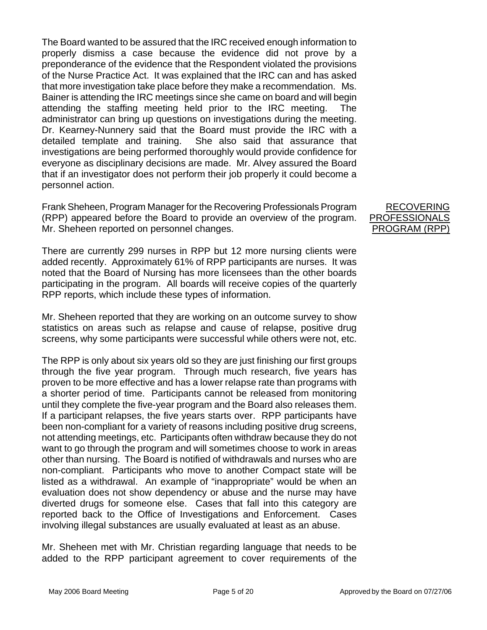The Board wanted to be assured that the IRC received enough information to properly dismiss a case because the evidence did not prove by a preponderance of the evidence that the Respondent violated the provisions of the Nurse Practice Act. It was explained that the IRC can and has asked that more investigation take place before they make a recommendation. Ms. Bainer is attending the IRC meetings since she came on board and will begin attending the staffing meeting held prior to the IRC meeting. The administrator can bring up questions on investigations during the meeting. Dr. Kearney-Nunnery said that the Board must provide the IRC with a detailed template and training. She also said that assurance that investigations are being performed thoroughly would provide confidence for everyone as disciplinary decisions are made. Mr. Alvey assured the Board that if an investigator does not perform their job properly it could become a personnel action.

Frank Sheheen, Program Manager for the Recovering Professionals Program (RPP) appeared before the Board to provide an overview of the program. Mr. Sheheen reported on personnel changes.

There are currently 299 nurses in RPP but 12 more nursing clients were added recently. Approximately 61% of RPP participants are nurses. It was noted that the Board of Nursing has more licensees than the other boards participating in the program. All boards will receive copies of the quarterly RPP reports, which include these types of information.

Mr. Sheheen reported that they are working on an outcome survey to show statistics on areas such as relapse and cause of relapse, positive drug screens, why some participants were successful while others were not, etc.

The RPP is only about six years old so they are just finishing our first groups through the five year program. Through much research, five years has proven to be more effective and has a lower relapse rate than programs with a shorter period of time. Participants cannot be released from monitoring until they complete the five-year program and the Board also releases them. If a participant relapses, the five years starts over. RPP participants have been non-compliant for a variety of reasons including positive drug screens, not attending meetings, etc. Participants often withdraw because they do not want to go through the program and will sometimes choose to work in areas other than nursing. The Board is notified of withdrawals and nurses who are non-compliant. Participants who move to another Compact state will be listed as a withdrawal. An example of "inappropriate" would be when an evaluation does not show dependency or abuse and the nurse may have diverted drugs for someone else. Cases that fall into this category are reported back to the Office of Investigations and Enforcement. Cases involving illegal substances are usually evaluated at least as an abuse.

Mr. Sheheen met with Mr. Christian regarding language that needs to be added to the RPP participant agreement to cover requirements of the

RECOVERING PROFESSIONALS PROGRAM (RPP)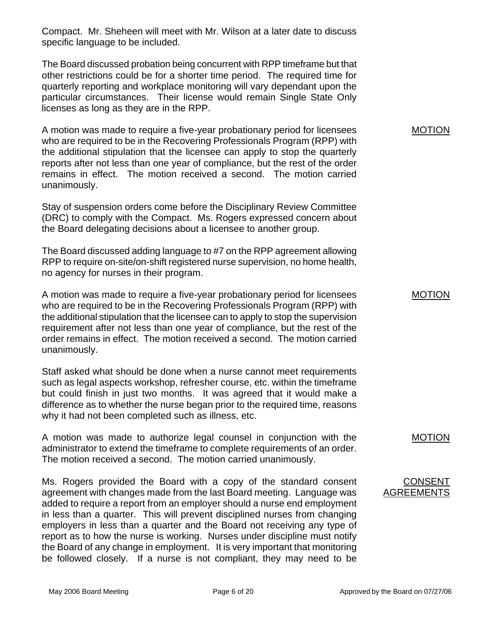Compact. Mr. Sheheen will meet with Mr. Wilson at a later date to discuss specific language to be included.

The Board discussed probation being concurrent with RPP timeframe but that other restrictions could be for a shorter time period. The required time for quarterly reporting and workplace monitoring will vary dependant upon the particular circumstances. Their license would remain Single State Only licenses as long as they are in the RPP.

A motion was made to require a five-year probationary period for licensees who are required to be in the Recovering Professionals Program (RPP) with the additional stipulation that the licensee can apply to stop the quarterly reports after not less than one year of compliance, but the rest of the order remains in effect. The motion received a second. The motion carried unanimously.

Stay of suspension orders come before the Disciplinary Review Committee (DRC) to comply with the Compact. Ms. Rogers expressed concern about the Board delegating decisions about a licensee to another group.

The Board discussed adding language to #7 on the RPP agreement allowing RPP to require on-site/on-shift registered nurse supervision, no home health, no agency for nurses in their program.

A motion was made to require a five-year probationary period for licensees who are required to be in the Recovering Professionals Program (RPP) with the additional stipulation that the licensee can to apply to stop the supervision requirement after not less than one year of compliance, but the rest of the order remains in effect. The motion received a second. The motion carried unanimously.

Staff asked what should be done when a nurse cannot meet requirements such as legal aspects workshop, refresher course, etc. within the timeframe but could finish in just two months. It was agreed that it would make a difference as to whether the nurse began prior to the required time, reasons why it had not been completed such as illness, etc.

A motion was made to authorize legal counsel in conjunction with the administrator to extend the timeframe to complete requirements of an order. The motion received a second. The motion carried unanimously.

Ms. Rogers provided the Board with a copy of the standard consent agreement with changes made from the last Board meeting. Language was added to require a report from an employer should a nurse end employment in less than a quarter. This will prevent disciplined nurses from changing employers in less than a quarter and the Board not receiving any type of report as to how the nurse is working. Nurses under discipline must notify the Board of any change in employment. It is very important that monitoring be followed closely. If a nurse is not compliant, they may need to be

MOTION

MOTION

MOTION

CONSENT AGREEMENTS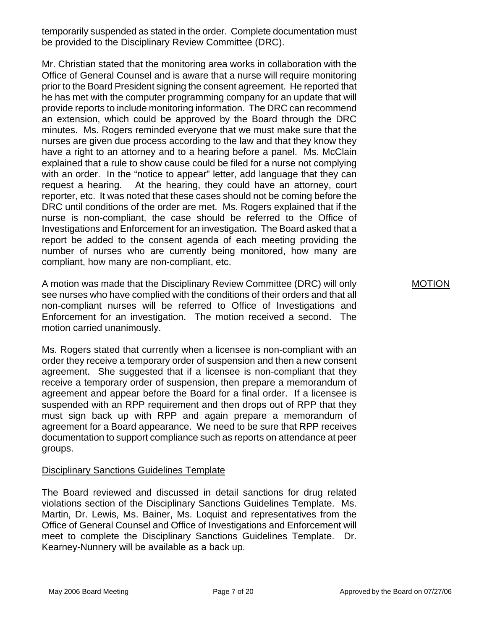temporarily suspended as stated in the order. Complete documentation must be provided to the Disciplinary Review Committee (DRC).

Mr. Christian stated that the monitoring area works in collaboration with the Office of General Counsel and is aware that a nurse will require monitoring prior to the Board President signing the consent agreement. He reported that he has met with the computer programming company for an update that will provide reports to include monitoring information. The DRC can recommend an extension, which could be approved by the Board through the DRC minutes. Ms. Rogers reminded everyone that we must make sure that the nurses are given due process according to the law and that they know they have a right to an attorney and to a hearing before a panel. Ms. McClain explained that a rule to show cause could be filed for a nurse not complying with an order. In the "notice to appear" letter, add language that they can request a hearing. At the hearing, they could have an attorney, court reporter, etc. It was noted that these cases should not be coming before the DRC until conditions of the order are met. Ms. Rogers explained that if the nurse is non-compliant, the case should be referred to the Office of Investigations and Enforcement for an investigation. The Board asked that a report be added to the consent agenda of each meeting providing the number of nurses who are currently being monitored, how many are compliant, how many are non-compliant, etc.

A motion was made that the Disciplinary Review Committee (DRC) will only see nurses who have complied with the conditions of their orders and that all non-compliant nurses will be referred to Office of Investigations and Enforcement for an investigation. The motion received a second. The motion carried unanimously.

Ms. Rogers stated that currently when a licensee is non-compliant with an order they receive a temporary order of suspension and then a new consent agreement. She suggested that if a licensee is non-compliant that they receive a temporary order of suspension, then prepare a memorandum of agreement and appear before the Board for a final order. If a licensee is suspended with an RPP requirement and then drops out of RPP that they must sign back up with RPP and again prepare a memorandum of agreement for a Board appearance. We need to be sure that RPP receives documentation to support compliance such as reports on attendance at peer groups.

## Disciplinary Sanctions Guidelines Template

The Board reviewed and discussed in detail sanctions for drug related violations section of the Disciplinary Sanctions Guidelines Template. Ms. Martin, Dr. Lewis, Ms. Bainer, Ms. Loquist and representatives from the Office of General Counsel and Office of Investigations and Enforcement will meet to complete the Disciplinary Sanctions Guidelines Template. Dr. Kearney-Nunnery will be available as a back up.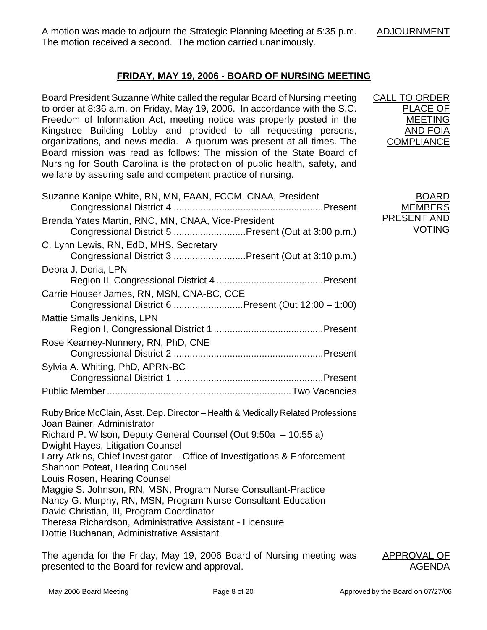A motion was made to adjourn the Strategic Planning Meeting at 5:35 p.m. The motion received a second. The motion carried unanimously.

CALL TO ORDER

PLACE OF MEETING AND FOIA **COMPLIANCE** 

BOARD **MEMBERS** PRESENT AND

VOTING

# **FRIDAY, MAY 19, 2006 - BOARD OF NURSING MEETING**

Board President Suzanne White called the regular Board of Nursing meeting to order at 8:36 a.m. on Friday, May 19, 2006. In accordance with the S.C. Freedom of Information Act, meeting notice was properly posted in the Kingstree Building Lobby and provided to all requesting persons, organizations, and news media. A quorum was present at all times. The Board mission was read as follows: The mission of the State Board of Nursing for South Carolina is the protection of public health, safety, and welfare by assuring safe and competent practice of nursing.

| Suzanne Kanipe White, RN, MN, FAAN, FCCM, CNAA, President                                                                                                                                                  |
|------------------------------------------------------------------------------------------------------------------------------------------------------------------------------------------------------------|
| Brenda Yates Martin, RNC, MN, CNAA, Vice-President<br>Congressional District 5 Present (Out at 3:00 p.m.)                                                                                                  |
| C. Lynn Lewis, RN, EdD, MHS, Secretary<br>Congressional District 3 Present (Out at 3:10 p.m.)                                                                                                              |
| Debra J. Doria, LPN                                                                                                                                                                                        |
| Carrie Houser James, RN, MSN, CNA-BC, CCE<br>Congressional District 6 Present (Out 12:00 - 1:00)                                                                                                           |
| <b>Mattie Smalls Jenkins, LPN</b>                                                                                                                                                                          |
| Rose Kearney-Nunnery, RN, PhD, CNE                                                                                                                                                                         |
| Sylvia A. Whiting, PhD, APRN-BC                                                                                                                                                                            |
|                                                                                                                                                                                                            |
| Ruby Brice McClain, Asst. Dep. Director - Health & Medically Related Professions<br>Joan Bainer, Administrator                                                                                             |
| Richard P. Wilson, Deputy General Counsel (Out 9:50a - 10:55 a)<br>Dwight Hayes, Litigation Counsel                                                                                                        |
| Larry Atkins, Chief Investigator – Office of Investigations & Enforcement<br><b>Shannon Poteat, Hearing Counsel</b>                                                                                        |
| Louis Rosen, Hearing Counsel<br>Maggie S. Johnson, RN, MSN, Program Nurse Consultant-Practice<br>Nancy G. Murphy, RN, MSN, Program Nurse Consultant-Education<br>David Christian, III, Program Coordinator |
| Theresa Richardson, Administrative Assistant - Licensure<br>Dottie Buchanan, Administrative Assistant                                                                                                      |

The agenda for the Friday, May 19, 2006 Board of Nursing meeting was presented to the Board for review and approval.

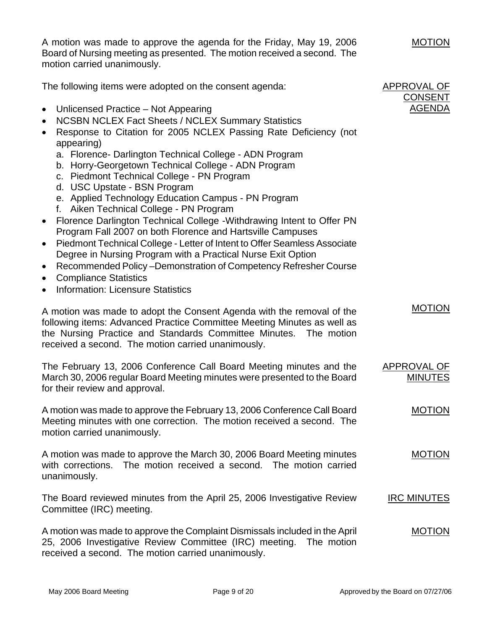A motion was made to approve the agenda for the Friday, May 19, 2006 Board of Nursing meeting as presented. The motion received a second. The motion carried unanimously.

The following items were adopted on the consent agenda:

- Unlicensed Practice Not Appearing
- NCSBN NCLEX Fact Sheets / NCLEX Summary Statistics
- Response to Citation for 2005 NCLEX Passing Rate Deficiency (not appearing)
	- a. Florence- Darlington Technical College ADN Program
	- b. Horry-Georgetown Technical College ADN Program
	- c. Piedmont Technical College PN Program
	- d. USC Upstate BSN Program
	- e. Applied Technology Education Campus PN Program
	- f. Aiken Technical College PN Program
- Florence Darlington Technical College -Withdrawing Intent to Offer PN Program Fall 2007 on both Florence and Hartsville Campuses
- Piedmont Technical College Letter of Intent to Offer Seamless Associate Degree in Nursing Program with a Practical Nurse Exit Option
- Recommended Policy –Demonstration of Competency Refresher Course
- Compliance Statistics
- Information: Licensure Statistics

A motion was made to adopt the Consent Agenda with the removal of the following items: Advanced Practice Committee Meeting Minutes as well as the Nursing Practice and Standards Committee Minutes. The motion received a second. The motion carried unanimously.

| The February 13, 2006 Conference Call Board Meeting minutes and the      | APPROVAL OF    |
|--------------------------------------------------------------------------|----------------|
| March 30, 2006 regular Board Meeting minutes were presented to the Board | <b>MINUTES</b> |
| for their review and approval.                                           |                |

A motion was made to approve the February 13, 2006 Conference Call Board Meeting minutes with one correction. The motion received a second. The motion carried unanimously.

A motion was made to approve the March 30, 2006 Board Meeting minutes with corrections. The motion received a second. The motion carried unanimously. MOTION

The Board reviewed minutes from the April 25, 2006 Investigative Review Committee (IRC) meeting. IRC MINUTES

A motion was made to approve the Complaint Dismissals included in the April 25, 2006 Investigative Review Committee (IRC) meeting. The motion received a second. The motion carried unanimously. MOTION

APPROVAL OF CONSENT AGENDA

MOTION

MOTION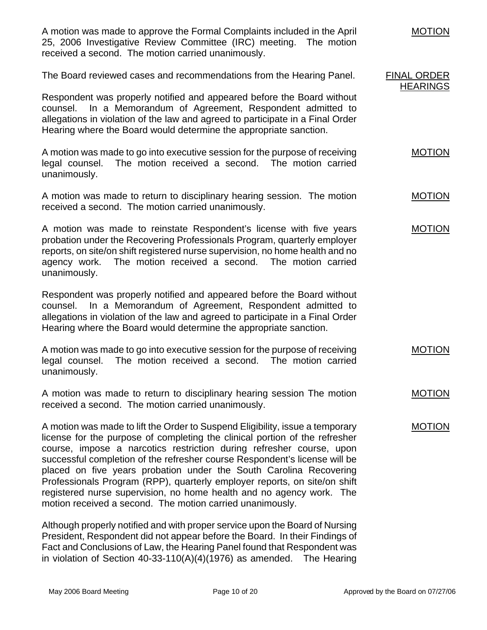| A motion was made to approve the Formal Complaints included in the April<br>25, 2006 Investigative Review Committee (IRC) meeting. The motion<br>received a second. The motion carried unanimously.                                                                                                                                                                                                                                                                                                                                                                                                        | <b>MOTION</b>                         |
|------------------------------------------------------------------------------------------------------------------------------------------------------------------------------------------------------------------------------------------------------------------------------------------------------------------------------------------------------------------------------------------------------------------------------------------------------------------------------------------------------------------------------------------------------------------------------------------------------------|---------------------------------------|
| The Board reviewed cases and recommendations from the Hearing Panel.                                                                                                                                                                                                                                                                                                                                                                                                                                                                                                                                       | <b>FINAL ORDER</b><br><b>HEARINGS</b> |
| Respondent was properly notified and appeared before the Board without<br>counsel. In a Memorandum of Agreement, Respondent admitted to<br>allegations in violation of the law and agreed to participate in a Final Order<br>Hearing where the Board would determine the appropriate sanction.                                                                                                                                                                                                                                                                                                             |                                       |
| A motion was made to go into executive session for the purpose of receiving<br>The motion received a second. The motion carried<br>legal counsel.<br>unanimously.                                                                                                                                                                                                                                                                                                                                                                                                                                          | <b>MOTION</b>                         |
| A motion was made to return to disciplinary hearing session. The motion<br>received a second. The motion carried unanimously.                                                                                                                                                                                                                                                                                                                                                                                                                                                                              | <b>MOTION</b>                         |
| A motion was made to reinstate Respondent's license with five years<br>probation under the Recovering Professionals Program, quarterly employer<br>reports, on site/on shift registered nurse supervision, no home health and no<br>agency work. The motion received a second. The motion carried<br>unanimously.                                                                                                                                                                                                                                                                                          | <b>MOTION</b>                         |
| Respondent was properly notified and appeared before the Board without<br>In a Memorandum of Agreement, Respondent admitted to<br>counsel.<br>allegations in violation of the law and agreed to participate in a Final Order<br>Hearing where the Board would determine the appropriate sanction.                                                                                                                                                                                                                                                                                                          |                                       |
| A motion was made to go into executive session for the purpose of receiving<br>legal counsel.<br>The motion received a second. The motion carried<br>unanimously.                                                                                                                                                                                                                                                                                                                                                                                                                                          | <b>MOTION</b>                         |
| A motion was made to return to disciplinary hearing session The motion<br>received a second. The motion carried unanimously.                                                                                                                                                                                                                                                                                                                                                                                                                                                                               | <b>MOTION</b>                         |
| A motion was made to lift the Order to Suspend Eligibility, issue a temporary<br>license for the purpose of completing the clinical portion of the refresher<br>course, impose a narcotics restriction during refresher course, upon<br>successful completion of the refresher course Respondent's license will be<br>placed on five years probation under the South Carolina Recovering<br>Professionals Program (RPP), quarterly employer reports, on site/on shift<br>registered nurse supervision, no home health and no agency work. The<br>motion received a second. The motion carried unanimously. | <b>MOTION</b>                         |
| Although properly notified and with proper service upon the Board of Nursing                                                                                                                                                                                                                                                                                                                                                                                                                                                                                                                               |                                       |

President, Respondent did not appear before the Board. In their Findings of Fact and Conclusions of Law, the Hearing Panel found that Respondent was in violation of Section 40-33-110(A)(4)(1976) as amended. The Hearing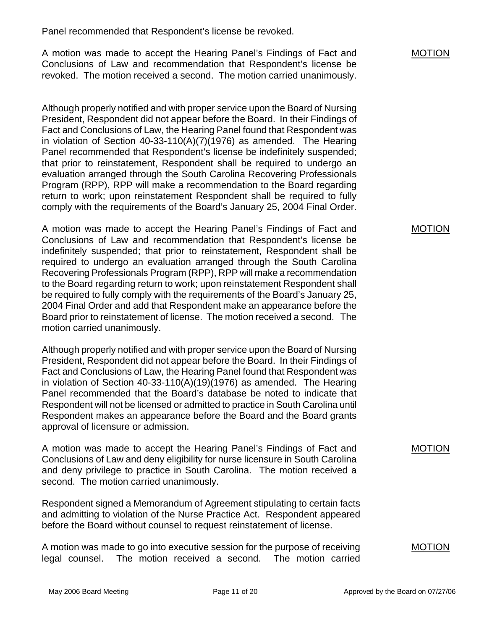Panel recommended that Respondent's license be revoked.

A motion was made to accept the Hearing Panel's Findings of Fact and Conclusions of Law and recommendation that Respondent's license be revoked. The motion received a second. The motion carried unanimously.

Although properly notified and with proper service upon the Board of Nursing President, Respondent did not appear before the Board. In their Findings of Fact and Conclusions of Law, the Hearing Panel found that Respondent was in violation of Section 40-33-110(A)(7)(1976) as amended. The Hearing Panel recommended that Respondent's license be indefinitely suspended; that prior to reinstatement, Respondent shall be required to undergo an evaluation arranged through the South Carolina Recovering Professionals Program (RPP), RPP will make a recommendation to the Board regarding return to work; upon reinstatement Respondent shall be required to fully comply with the requirements of the Board's January 25, 2004 Final Order.

A motion was made to accept the Hearing Panel's Findings of Fact and Conclusions of Law and recommendation that Respondent's license be indefinitely suspended; that prior to reinstatement, Respondent shall be required to undergo an evaluation arranged through the South Carolina Recovering Professionals Program (RPP), RPP will make a recommendation to the Board regarding return to work; upon reinstatement Respondent shall be required to fully comply with the requirements of the Board's January 25, 2004 Final Order and add that Respondent make an appearance before the Board prior to reinstatement of license. The motion received a second. The motion carried unanimously.

Although properly notified and with proper service upon the Board of Nursing President, Respondent did not appear before the Board. In their Findings of Fact and Conclusions of Law, the Hearing Panel found that Respondent was in violation of Section 40-33-110(A)(19)(1976) as amended. The Hearing Panel recommended that the Board's database be noted to indicate that Respondent will not be licensed or admitted to practice in South Carolina until Respondent makes an appearance before the Board and the Board grants approval of licensure or admission.

A motion was made to accept the Hearing Panel's Findings of Fact and Conclusions of Law and deny eligibility for nurse licensure in South Carolina and deny privilege to practice in South Carolina. The motion received a second. The motion carried unanimously.

Respondent signed a Memorandum of Agreement stipulating to certain facts and admitting to violation of the Nurse Practice Act. Respondent appeared before the Board without counsel to request reinstatement of license.

A motion was made to go into executive session for the purpose of receiving legal counsel. The motion received a second. The motion carried MOTION

## MOTION

## MOTION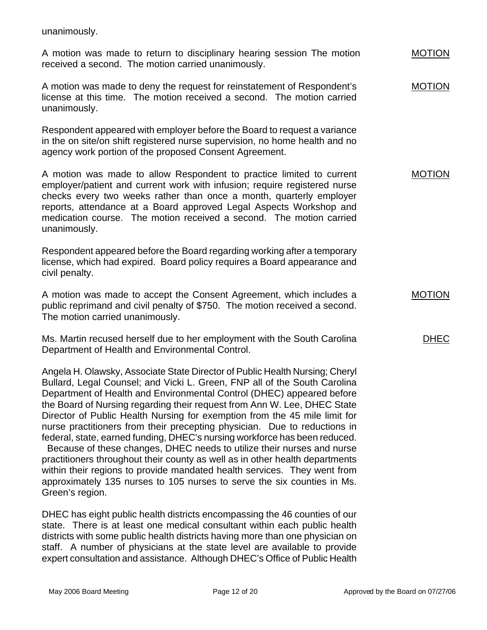unanimously.

A motion was made to return to disciplinary hearing session The motion received a second. The motion carried unanimously.

A motion was made to deny the request for reinstatement of Respondent's license at this time. The motion received a second. The motion carried unanimously. MOTION

Respondent appeared with employer before the Board to request a variance in the on site/on shift registered nurse supervision, no home health and no agency work portion of the proposed Consent Agreement.

A motion was made to allow Respondent to practice limited to current employer/patient and current work with infusion; require registered nurse checks every two weeks rather than once a month, quarterly employer reports, attendance at a Board approved Legal Aspects Workshop and medication course. The motion received a second. The motion carried unanimously. MOTION

Respondent appeared before the Board regarding working after a temporary license, which had expired. Board policy requires a Board appearance and civil penalty.

A motion was made to accept the Consent Agreement, which includes a public reprimand and civil penalty of \$750. The motion received a second. The motion carried unanimously.

Ms. Martin recused herself due to her employment with the South Carolina Department of Health and Environmental Control.

Angela H. Olawsky, Associate State Director of Public Health Nursing; Cheryl Bullard, Legal Counsel; and Vicki L. Green, FNP all of the South Carolina Department of Health and Environmental Control (DHEC) appeared before the Board of Nursing regarding their request from Ann W. Lee, DHEC State Director of Public Health Nursing for exemption from the 45 mile limit for nurse practitioners from their precepting physician. Due to reductions in federal, state, earned funding, DHEC's nursing workforce has been reduced. Because of these changes, DHEC needs to utilize their nurses and nurse practitioners throughout their county as well as in other health departments within their regions to provide mandated health services. They went from approximately 135 nurses to 105 nurses to serve the six counties in Ms. Green's region.

DHEC has eight public health districts encompassing the 46 counties of our state. There is at least one medical consultant within each public health districts with some public health districts having more than one physician on staff. A number of physicians at the state level are available to provide expert consultation and assistance. Although DHEC's Office of Public Health MOTION

MOTION

DHEC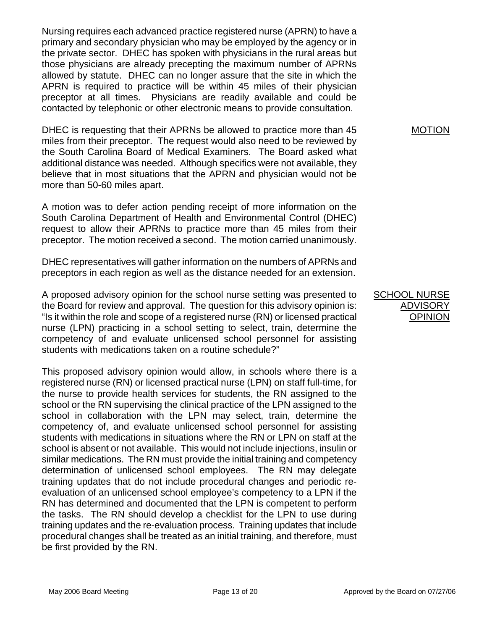Nursing requires each advanced practice registered nurse (APRN) to have a primary and secondary physician who may be employed by the agency or in the private sector. DHEC has spoken with physicians in the rural areas but those physicians are already precepting the maximum number of APRNs allowed by statute. DHEC can no longer assure that the site in which the APRN is required to practice will be within 45 miles of their physician preceptor at all times. Physicians are readily available and could be contacted by telephonic or other electronic means to provide consultation.

DHEC is requesting that their APRNs be allowed to practice more than 45 miles from their preceptor. The request would also need to be reviewed by the South Carolina Board of Medical Examiners. The Board asked what additional distance was needed. Although specifics were not available, they believe that in most situations that the APRN and physician would not be more than 50-60 miles apart.

A motion was to defer action pending receipt of more information on the South Carolina Department of Health and Environmental Control (DHEC) request to allow their APRNs to practice more than 45 miles from their preceptor. The motion received a second. The motion carried unanimously.

DHEC representatives will gather information on the numbers of APRNs and preceptors in each region as well as the distance needed for an extension.

A proposed advisory opinion for the school nurse setting was presented to the Board for review and approval. The question for this advisory opinion is: "Is it within the role and scope of a registered nurse (RN) or licensed practical nurse (LPN) practicing in a school setting to select, train, determine the competency of and evaluate unlicensed school personnel for assisting students with medications taken on a routine schedule?"

This proposed advisory opinion would allow, in schools where there is a registered nurse (RN) or licensed practical nurse (LPN) on staff full-time, for the nurse to provide health services for students, the RN assigned to the school or the RN supervising the clinical practice of the LPN assigned to the school in collaboration with the LPN may select, train, determine the competency of, and evaluate unlicensed school personnel for assisting students with medications in situations where the RN or LPN on staff at the school is absent or not available. This would not include injections, insulin or similar medications. The RN must provide the initial training and competency determination of unlicensed school employees. The RN may delegate training updates that do not include procedural changes and periodic reevaluation of an unlicensed school employee's competency to a LPN if the RN has determined and documented that the LPN is competent to perform the tasks. The RN should develop a checklist for the LPN to use during training updates and the re-evaluation process. Training updates that include procedural changes shall be treated as an initial training, and therefore, must be first provided by the RN.

**SCHOOL NURSE** ADVISORY

OPINION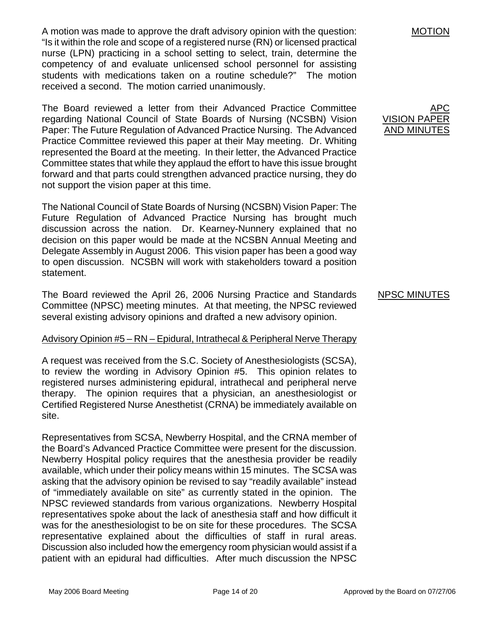A motion was made to approve the draft advisory opinion with the question: "Is it within the role and scope of a registered nurse (RN) or licensed practical nurse (LPN) practicing in a school setting to select, train, determine the competency of and evaluate unlicensed school personnel for assisting students with medications taken on a routine schedule?" The motion received a second. The motion carried unanimously.

The Board reviewed a letter from their Advanced Practice Committee regarding National Council of State Boards of Nursing (NCSBN) Vision Paper: The Future Regulation of Advanced Practice Nursing. The Advanced Practice Committee reviewed this paper at their May meeting. Dr. Whiting represented the Board at the meeting. In their letter, the Advanced Practice Committee states that while they applaud the effort to have this issue brought forward and that parts could strengthen advanced practice nursing, they do not support the vision paper at this time.

The National Council of State Boards of Nursing (NCSBN) Vision Paper: The Future Regulation of Advanced Practice Nursing has brought much discussion across the nation. Dr. Kearney-Nunnery explained that no decision on this paper would be made at the NCSBN Annual Meeting and Delegate Assembly in August 2006. This vision paper has been a good way to open discussion. NCSBN will work with stakeholders toward a position statement.

The Board reviewed the April 26, 2006 Nursing Practice and Standards Committee (NPSC) meeting minutes. At that meeting, the NPSC reviewed several existing advisory opinions and drafted a new advisory opinion.

## Advisory Opinion #5 – RN – Epidural, Intrathecal & Peripheral Nerve Therapy

A request was received from the S.C. Society of Anesthesiologists (SCSA), to review the wording in Advisory Opinion #5. This opinion relates to registered nurses administering epidural, intrathecal and peripheral nerve therapy. The opinion requires that a physician, an anesthesiologist or Certified Registered Nurse Anesthetist (CRNA) be immediately available on site.

Representatives from SCSA, Newberry Hospital, and the CRNA member of the Board's Advanced Practice Committee were present for the discussion. Newberry Hospital policy requires that the anesthesia provider be readily available, which under their policy means within 15 minutes. The SCSA was asking that the advisory opinion be revised to say "readily available" instead of "immediately available on site" as currently stated in the opinion. The NPSC reviewed standards from various organizations. Newberry Hospital representatives spoke about the lack of anesthesia staff and how difficult it was for the anesthesiologist to be on site for these procedures. The SCSA representative explained about the difficulties of staff in rural areas. Discussion also included how the emergency room physician would assist if a patient with an epidural had difficulties. After much discussion the NPSC

MOTION

APC VISION PAPER AND MINUTES

#### NPSC MINUTES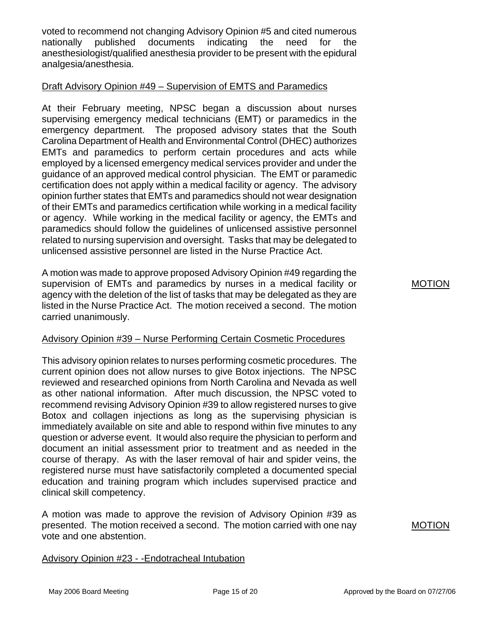voted to recommend not changing Advisory Opinion #5 and cited numerous nationally published documents indicating the need for the anesthesiologist/qualified anesthesia provider to be present with the epidural analgesia/anesthesia.

## Draft Advisory Opinion #49 – Supervision of EMTS and Paramedics

At their February meeting, NPSC began a discussion about nurses supervising emergency medical technicians (EMT) or paramedics in the emergency department. The proposed advisory states that the South Carolina Department of Health and Environmental Control (DHEC) authorizes EMTs and paramedics to perform certain procedures and acts while employed by a licensed emergency medical services provider and under the guidance of an approved medical control physician. The EMT or paramedic certification does not apply within a medical facility or agency. The advisory opinion further states that EMTs and paramedics should not wear designation of their EMTs and paramedics certification while working in a medical facility or agency. While working in the medical facility or agency, the EMTs and paramedics should follow the guidelines of unlicensed assistive personnel related to nursing supervision and oversight. Tasks that may be delegated to unlicensed assistive personnel are listed in the Nurse Practice Act.

A motion was made to approve proposed Advisory Opinion #49 regarding the supervision of EMTs and paramedics by nurses in a medical facility or agency with the deletion of the list of tasks that may be delegated as they are listed in the Nurse Practice Act. The motion received a second. The motion carried unanimously.

# Advisory Opinion #39 – Nurse Performing Certain Cosmetic Procedures

This advisory opinion relates to nurses performing cosmetic procedures. The current opinion does not allow nurses to give Botox injections. The NPSC reviewed and researched opinions from North Carolina and Nevada as well as other national information. After much discussion, the NPSC voted to recommend revising Advisory Opinion #39 to allow registered nurses to give Botox and collagen injections as long as the supervising physician is immediately available on site and able to respond within five minutes to any question or adverse event. It would also require the physician to perform and document an initial assessment prior to treatment and as needed in the course of therapy. As with the laser removal of hair and spider veins, the registered nurse must have satisfactorily completed a documented special education and training program which includes supervised practice and clinical skill competency.

A motion was made to approve the revision of Advisory Opinion #39 as presented. The motion received a second. The motion carried with one nay vote and one abstention.

# Advisory Opinion #23 - -Endotracheal Intubation

MOTION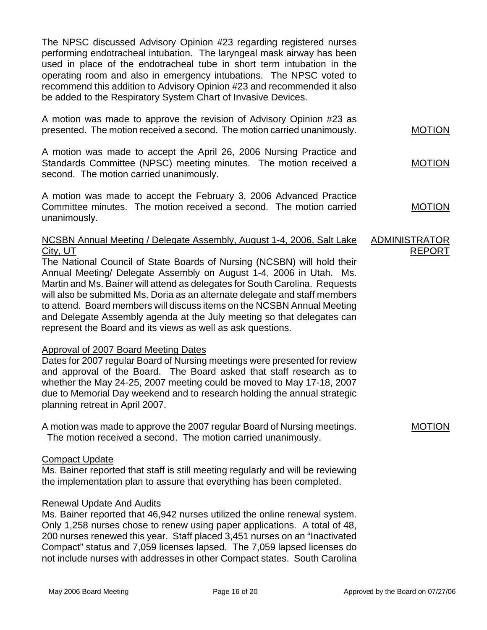The NPSC discussed Advisory Opinion #23 regarding registered nurses performing endotracheal intubation. The laryngeal mask airway has been used in place of the endotracheal tube in short term intubation in the operating room and also in emergency intubations. The NPSC voted to recommend this addition to Advisory Opinion #23 and recommended it also be added to the Respiratory System Chart of Invasive Devices.

A motion was made to approve the revision of Advisory Opinion #23 as presented. The motion received a second. The motion carried unanimously.

A motion was made to accept the April 26, 2006 Nursing Practice and Standards Committee (NPSC) meeting minutes. The motion received a second. The motion carried unanimously.

A motion was made to accept the February 3, 2006 Advanced Practice Committee minutes. The motion received a second. The motion carried unanimously.

#### NCSBN Annual Meeting / Delegate Assembly, August 1-4, 2006, Salt Lake City, UT ADMINISTRATOR REPORT

The National Council of State Boards of Nursing (NCSBN) will hold their Annual Meeting/ Delegate Assembly on August 1-4, 2006 in Utah. Ms. Martin and Ms. Bainer will attend as delegates for South Carolina. Requests will also be submitted Ms. Doria as an alternate delegate and staff members to attend. Board members will discuss items on the NCSBN Annual Meeting and Delegate Assembly agenda at the July meeting so that delegates can represent the Board and its views as well as ask questions.

## Approval of 2007 Board Meeting Dates

Dates for 2007 regular Board of Nursing meetings were presented for review and approval of the Board. The Board asked that staff research as to whether the May 24-25, 2007 meeting could be moved to May 17-18, 2007 due to Memorial Day weekend and to research holding the annual strategic planning retreat in April 2007.

A motion was made to approve the 2007 regular Board of Nursing meetings. The motion received a second. The motion carried unanimously.

# Compact Update

Ms. Bainer reported that staff is still meeting regularly and will be reviewing the implementation plan to assure that everything has been completed.

# Renewal Update And Audits

Ms. Bainer reported that 46,942 nurses utilized the online renewal system. Only 1,258 nurses chose to renew using paper applications. A total of 48, 200 nurses renewed this year. Staff placed 3,451 nurses on an "Inactivated Compact" status and 7,059 licenses lapsed. The 7,059 lapsed licenses do not include nurses with addresses in other Compact states. South Carolina MOTION

MOTION

MOTION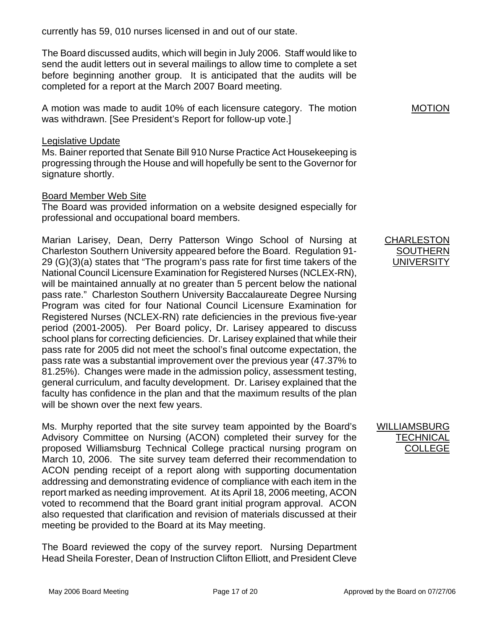currently has 59, 010 nurses licensed in and out of our state.

The Board discussed audits, which will begin in July 2006. Staff would like to send the audit letters out in several mailings to allow time to complete a set before beginning another group. It is anticipated that the audits will be completed for a report at the March 2007 Board meeting.

A motion was made to audit 10% of each licensure category. The motion was withdrawn. [See President's Report for follow-up vote.]

#### Legislative Update

Ms. Bainer reported that Senate Bill 910 Nurse Practice Act Housekeeping is progressing through the House and will hopefully be sent to the Governor for signature shortly.

## Board Member Web Site

The Board was provided information on a website designed especially for professional and occupational board members.

Marian Larisey, Dean, Derry Patterson Wingo School of Nursing at Charleston Southern University appeared before the Board. Regulation 91- 29 (G)(3)(a) states that "The program's pass rate for first time takers of the National Council Licensure Examination for Registered Nurses (NCLEX-RN), will be maintained annually at no greater than 5 percent below the national pass rate." Charleston Southern University Baccalaureate Degree Nursing Program was cited for four National Council Licensure Examination for Registered Nurses (NCLEX-RN) rate deficiencies in the previous five-year period (2001-2005). Per Board policy, Dr. Larisey appeared to discuss school plans for correcting deficiencies. Dr. Larisey explained that while their pass rate for 2005 did not meet the school's final outcome expectation, the pass rate was a substantial improvement over the previous year (47.37% to 81.25%). Changes were made in the admission policy, assessment testing, general curriculum, and faculty development. Dr. Larisey explained that the faculty has confidence in the plan and that the maximum results of the plan will be shown over the next few years.

Ms. Murphy reported that the site survey team appointed by the Board's Advisory Committee on Nursing (ACON) completed their survey for the proposed Williamsburg Technical College practical nursing program on March 10, 2006. The site survey team deferred their recommendation to ACON pending receipt of a report along with supporting documentation addressing and demonstrating evidence of compliance with each item in the report marked as needing improvement. At its April 18, 2006 meeting, ACON voted to recommend that the Board grant initial program approval. ACON also requested that clarification and revision of materials discussed at their meeting be provided to the Board at its May meeting.

The Board reviewed the copy of the survey report. Nursing Department Head Sheila Forester, Dean of Instruction Clifton Elliott, and President Cleve

MOTION

#### CHARLESTON **SOUTHERN UNIVERSITY**

## WILLIAMSBURG **TECHNICAL** COLLEGE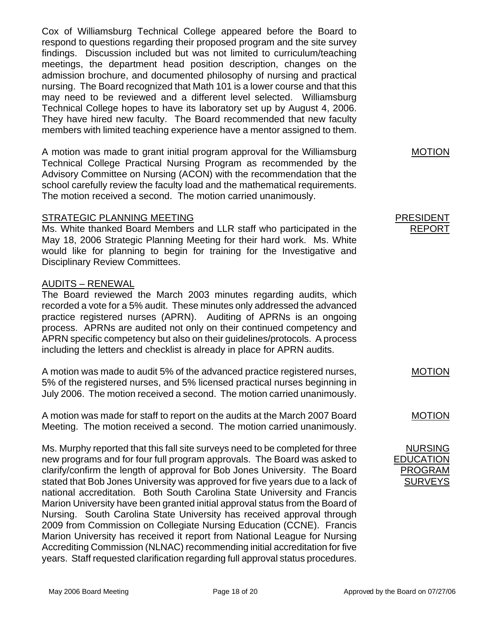Cox of Williamsburg Technical College appeared before the Board to respond to questions regarding their proposed program and the site survey findings. Discussion included but was not limited to curriculum/teaching meetings, the department head position description, changes on the admission brochure, and documented philosophy of nursing and practical nursing. The Board recognized that Math 101 is a lower course and that this may need to be reviewed and a different level selected. Williamsburg Technical College hopes to have its laboratory set up by August 4, 2006. They have hired new faculty. The Board recommended that new faculty members with limited teaching experience have a mentor assigned to them.

A motion was made to grant initial program approval for the Williamsburg Technical College Practical Nursing Program as recommended by the Advisory Committee on Nursing (ACON) with the recommendation that the school carefully review the faculty load and the mathematical requirements. The motion received a second. The motion carried unanimously.

## STRATEGIC PLANNING MEETING

Ms. White thanked Board Members and LLR staff who participated in the May 18, 2006 Strategic Planning Meeting for their hard work. Ms. White would like for planning to begin for training for the Investigative and Disciplinary Review Committees.

## AUDITS – RENEWAL

The Board reviewed the March 2003 minutes regarding audits, which recorded a vote for a 5% audit. These minutes only addressed the advanced practice registered nurses (APRN). Auditing of APRNs is an ongoing process. APRNs are audited not only on their continued competency and APRN specific competency but also on their guidelines/protocols. A process including the letters and checklist is already in place for APRN audits.

A motion was made to audit 5% of the advanced practice registered nurses, 5% of the registered nurses, and 5% licensed practical nurses beginning in July 2006. The motion received a second. The motion carried unanimously.

A motion was made for staff to report on the audits at the March 2007 Board Meeting. The motion received a second. The motion carried unanimously.

Ms. Murphy reported that this fall site surveys need to be completed for three new programs and for four full program approvals. The Board was asked to clarify/confirm the length of approval for Bob Jones University. The Board stated that Bob Jones University was approved for five years due to a lack of national accreditation. Both South Carolina State University and Francis Marion University have been granted initial approval status from the Board of Nursing. South Carolina State University has received approval through 2009 from Commission on Collegiate Nursing Education (CCNE). Francis Marion University has received it report from National League for Nursing Accrediting Commission (NLNAC) recommending initial accreditation for five years. Staff requested clarification regarding full approval status procedures. MOTION

#### PRESIDENT REPORT

MOTION

#### MOTION

NURSING EDUCATION PROGRAM SURVEYS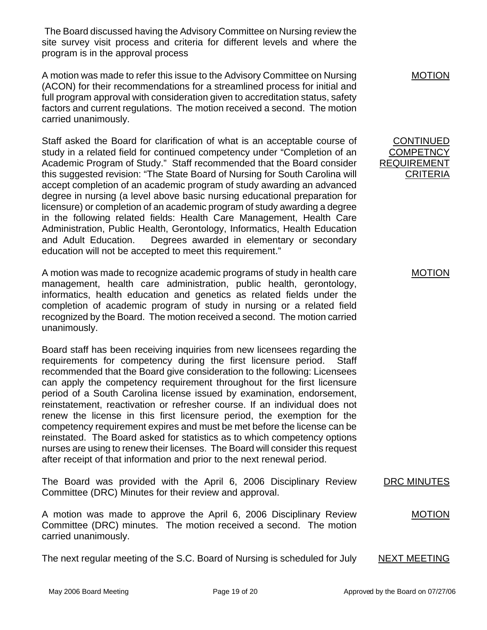The Board discussed having the Advisory Committee on Nursing review the site survey visit process and criteria for different levels and where the program is in the approval process

A motion was made to refer this issue to the Advisory Committee on Nursing (ACON) for their recommendations for a streamlined process for initial and full program approval with consideration given to accreditation status, safety factors and current regulations. The motion received a second. The motion carried unanimously.

Staff asked the Board for clarification of what is an acceptable course of study in a related field for continued competency under "Completion of an Academic Program of Study." Staff recommended that the Board consider this suggested revision: "The State Board of Nursing for South Carolina will accept completion of an academic program of study awarding an advanced degree in nursing (a level above basic nursing educational preparation for licensure) or completion of an academic program of study awarding a degree in the following related fields: Health Care Management, Health Care Administration, Public Health, Gerontology, Informatics, Health Education and Adult Education. Degrees awarded in elementary or secondary education will not be accepted to meet this requirement."

A motion was made to recognize academic programs of study in health care management, health care administration, public health, gerontology, informatics, health education and genetics as related fields under the completion of academic program of study in nursing or a related field recognized by the Board. The motion received a second. The motion carried unanimously.

Board staff has been receiving inquiries from new licensees regarding the requirements for competency during the first licensure period. Staff recommended that the Board give consideration to the following: Licensees can apply the competency requirement throughout for the first licensure period of a South Carolina license issued by examination, endorsement, reinstatement, reactivation or refresher course. If an individual does not renew the license in this first licensure period, the exemption for the competency requirement expires and must be met before the license can be reinstated. The Board asked for statistics as to which competency options nurses are using to renew their licenses. The Board will consider this request after receipt of that information and prior to the next renewal period.

The Board was provided with the April 6, 2006 Disciplinary Review Committee (DRC) Minutes for their review and approval.

A motion was made to approve the April 6, 2006 Disciplinary Review Committee (DRC) minutes. The motion received a second. The motion carried unanimously.

The next regular meeting of the S.C. Board of Nursing is scheduled for July NEXT MEETING

MOTION

**CONTINUED COMPETNCY** REQUIREMENT **CRITERIA** 

MOTION

DRC MINUTES